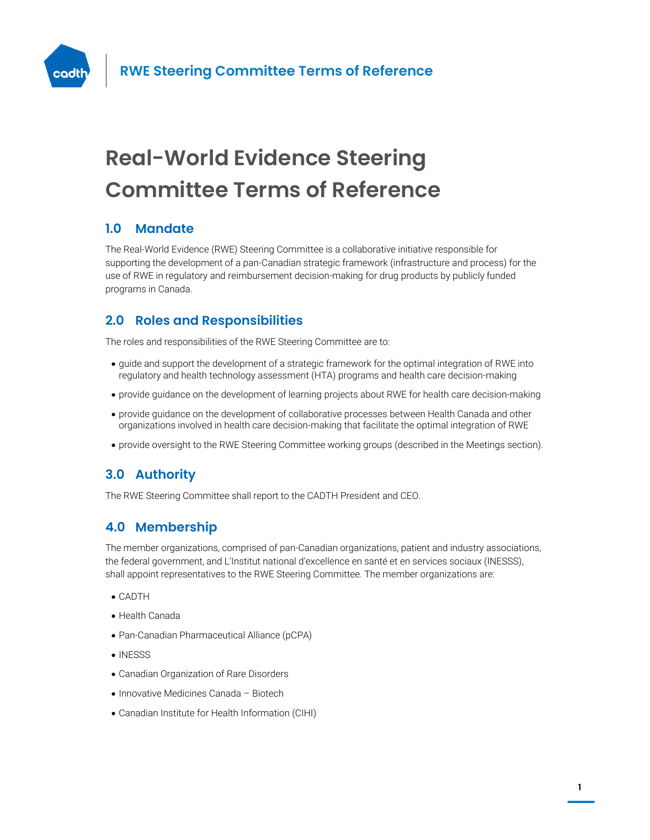

# **Real-World Evidence Steering Committee Terms of Reference**

# **1.0 Mandate**

The Real-World Evidence (RWE) Steering Committee is a collaborative initiative responsible for supporting the development of a pan-Canadian strategic framework (infrastructure and process) for the use of RWE in regulatory and reimbursement decision-making for drug products by publicly funded programs in Canada.

# **2.0 Roles and Responsibilities**

The roles and responsibilities of the RWE Steering Committee are to:

- guide and support the development of a strategic framework for the optimal integration of RWE into regulatory and health technology assessment (HTA) programs and health care decision-making
- provide guidance on the development of learning projects about RWE for health care decision-making
- provide guidance on the development of collaborative processes between Health Canada and other organizations involved in health care decision-making that facilitate the optimal integration of RWE
- provide oversight to the RWE Steering Committee working groups (described in the Meetings section).

# **3.0 Authority**

The RWE Steering Committee shall report to the CADTH President and CEO.

# **4.0 Membership**

The member organizations, comprised of pan-Canadian organizations, patient and industry associations, the federal government, and L'Institut national d'excellence en santé et en services sociaux (INESSS), shall appoint representatives to the RWE Steering Committee. The member organizations are:

- CADTH
- Health Canada
- Pan-Canadian Pharmaceutical Alliance (pCPA)
- INESSS
- Canadian Organization of Rare Disorders
- Innovative Medicines Canada Biotech
- Canadian Institute for Health Information (CIHI)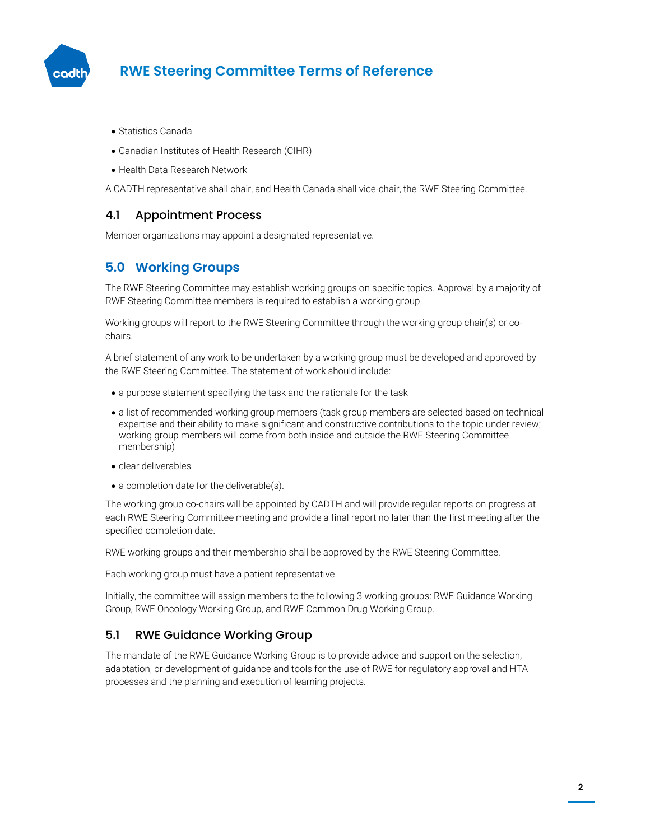

# **RWE Steering Committee Terms of Reference**

- Statistics Canada
- Canadian Institutes of Health Research (CIHR)
- Health Data Research Network

A CADTH representative shall chair, and Health Canada shall vice-chair, the RWE Steering Committee.

#### 4.1 Appointment Process

Member organizations may appoint a designated representative.

# **5.0 Working Groups**

The RWE Steering Committee may establish working groups on specific topics. Approval by a majority of RWE Steering Committee members is required to establish a working group.

Working groups will report to the RWE Steering Committee through the working group chair(s) or cochairs.

A brief statement of any work to be undertaken by a working group must be developed and approved by the RWE Steering Committee. The statement of work should include:

- a purpose statement specifying the task and the rationale for the task
- a list of recommended working group members (task group members are selected based on technical expertise and their ability to make significant and constructive contributions to the topic under review; working group members will come from both inside and outside the RWE Steering Committee membership)
- clear deliverables
- a completion date for the deliverable(s).

The working group co-chairs will be appointed by CADTH and will provide regular reports on progress at each RWE Steering Committee meeting and provide a final report no later than the first meeting after the specified completion date.

RWE working groups and their membership shall be approved by the RWE Steering Committee.

Each working group must have a patient representative.

Initially, the committee will assign members to the following 3 working groups: RWE Guidance Working Group, RWE Oncology Working Group, and RWE Common Drug Working Group.

#### 5.1 RWE Guidance Working Group

The mandate of the RWE Guidance Working Group is to provide advice and support on the selection, adaptation, or development of guidance and tools for the use of RWE for regulatory approval and HTA processes and the planning and execution of learning projects.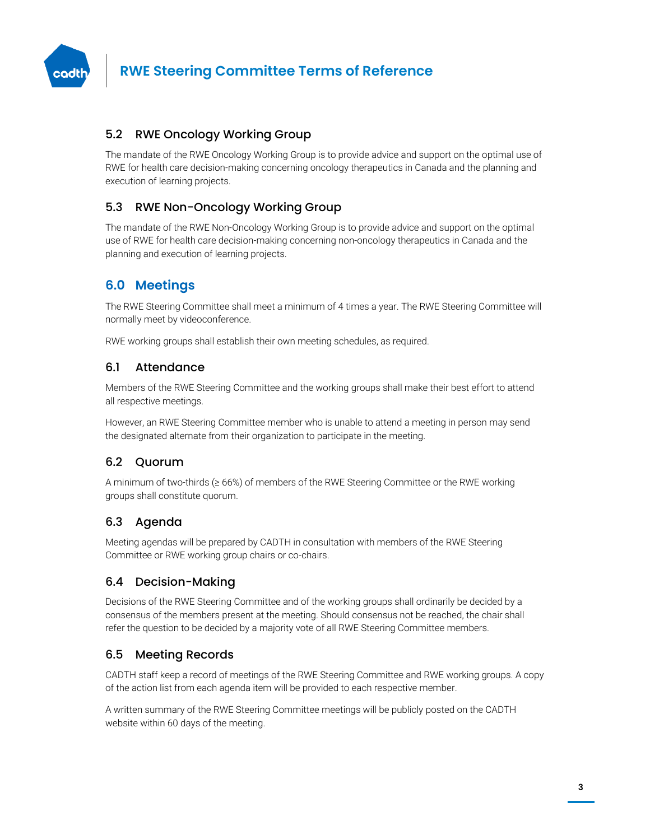

#### 5.2 RWE Oncology Working Group

The mandate of the RWE Oncology Working Group is to provide advice and support on the optimal use of RWE for health care decision-making concerning oncology therapeutics in Canada and the planning and execution of learning projects.

#### 5.3 RWE Non-Oncology Working Group

The mandate of the RWE Non-Oncology Working Group is to provide advice and support on the optimal use of RWE for health care decision-making concerning non-oncology therapeutics in Canada and the planning and execution of learning projects.

# **6.0 Meetings**

The RWE Steering Committee shall meet a minimum of 4 times a year. The RWE Steering Committee will normally meet by videoconference.

RWE working groups shall establish their own meeting schedules, as required.

#### 6.1 Attendance

Members of the RWE Steering Committee and the working groups shall make their best effort to attend all respective meetings.

However, an RWE Steering Committee member who is unable to attend a meeting in person may send the designated alternate from their organization to participate in the meeting.

#### 6.2 Quorum

A minimum of two-thirds (≥ 66%) of members of the RWE Steering Committee or the RWE working groups shall constitute quorum.

#### 6.3 Agenda

Meeting agendas will be prepared by CADTH in consultation with members of the RWE Steering Committee or RWE working group chairs or co-chairs.

#### 6.4 Decision-Making

Decisions of the RWE Steering Committee and of the working groups shall ordinarily be decided by a consensus of the members present at the meeting. Should consensus not be reached, the chair shall refer the question to be decided by a majority vote of all RWE Steering Committee members.

#### 6.5 Meeting Records

CADTH staff keep a record of meetings of the RWE Steering Committee and RWE working groups. A copy of the action list from each agenda item will be provided to each respective member.

A written summary of the RWE Steering Committee meetings will be publicly posted on the CADTH website within 60 days of the meeting.